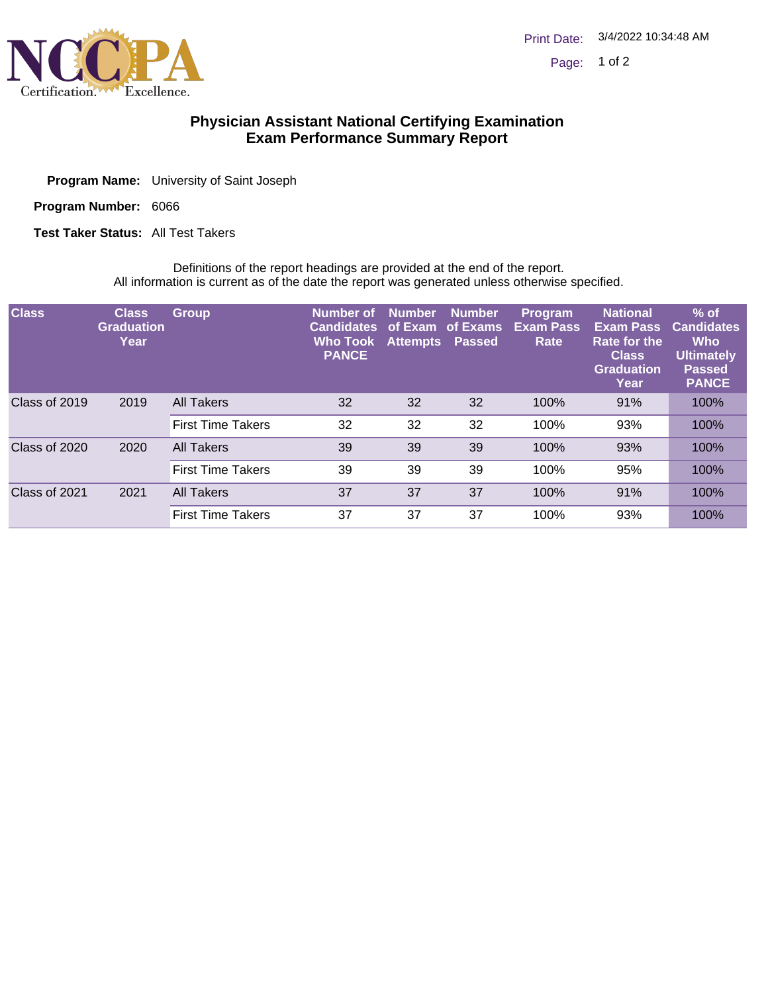

## **Physician Assistant National Certifying Examination Exam Performance Summary Report**

| <b>Program Name:</b> University of Saint Joseph |
|-------------------------------------------------|
|                                                 |

Program Number: 6066

**Test Taker Status: All Test Takers** 

Definitions of the report headings are provided at the end of the report. All information is current as of the date the report was generated unless otherwise specified.

| <b>Class</b>  | <b>Class</b><br><b>Graduation</b><br>Year | <b>Group</b>             | Number of<br><b>Candidates</b><br><b>Who Took</b><br><b>PANCE</b> | <b>Number</b><br>of Exam<br><b>Attempts</b> | <b>Number</b><br>of Exams<br>Passed | <b>Program</b><br><b>Exam Pass</b><br>Rate | <b>National</b><br><b>Exam Pass</b><br>Rate for the<br><b>Class</b><br><b>Graduation</b><br>Year | $%$ of<br><b>Candidates</b><br><b>Who</b><br><b>Ultimately</b><br><b>Passed</b><br><b>PANCE</b> |
|---------------|-------------------------------------------|--------------------------|-------------------------------------------------------------------|---------------------------------------------|-------------------------------------|--------------------------------------------|--------------------------------------------------------------------------------------------------|-------------------------------------------------------------------------------------------------|
| Class of 2019 | 2019                                      | All Takers               | 32                                                                | 32                                          | 32                                  | 100%                                       | 91%                                                                                              | 100%                                                                                            |
|               |                                           | <b>First Time Takers</b> | 32                                                                | 32                                          | 32                                  | 100%                                       | 93%                                                                                              | 100%                                                                                            |
| Class of 2020 | 2020                                      | <b>All Takers</b>        | 39                                                                | 39                                          | 39                                  | 100%                                       | 93%                                                                                              | 100%                                                                                            |
|               |                                           | <b>First Time Takers</b> | 39                                                                | 39                                          | 39                                  | 100%                                       | 95%                                                                                              | 100%                                                                                            |
| Class of 2021 | 2021                                      | All Takers               | 37                                                                | 37                                          | 37                                  | 100%                                       | 91%                                                                                              | 100%                                                                                            |
|               |                                           | <b>First Time Takers</b> | 37                                                                | 37                                          | 37                                  | 100%                                       | 93%                                                                                              | 100%                                                                                            |